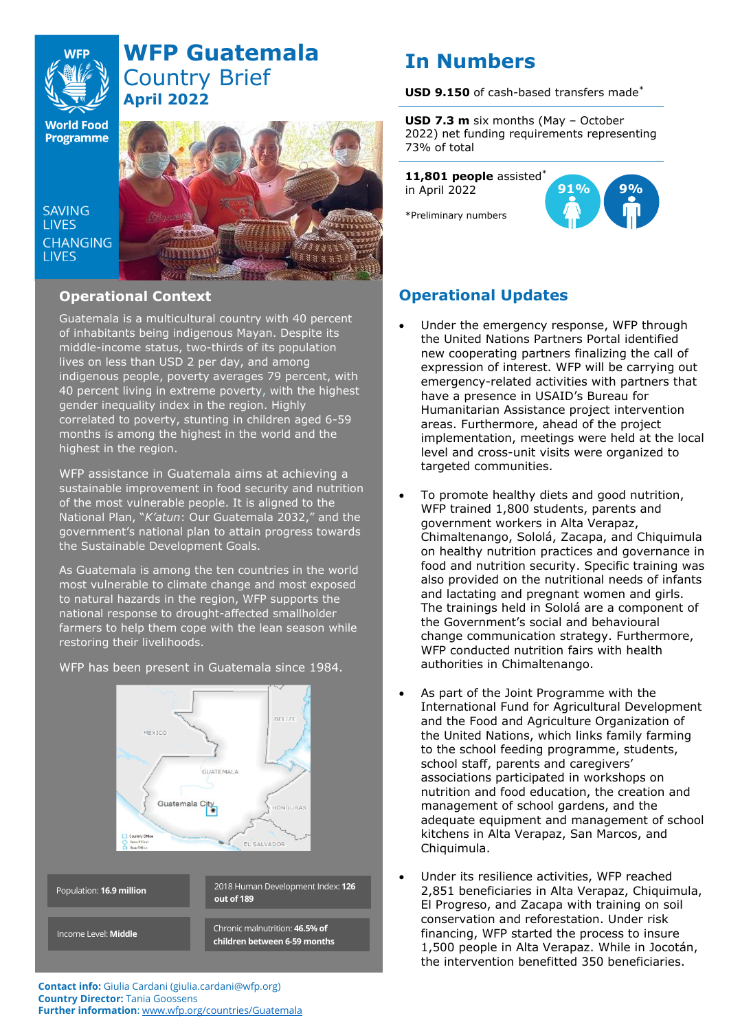

# **WFP Guatemala** Country Brief **April 2022**

**World Food Programme** 

SAVING **TIVES CHANGING I IVES** 



## **Operational Context**

Guatemala is a multicultural country with 40 percent of inhabitants being indigenous Mayan. Despite its middle-income status, two-thirds of its population lives on less than USD 2 per day, and among indigenous people, poverty averages 79 percent, with 40 percent living in extreme poverty, with the highest gender inequality index in the region. Highly correlated to poverty, stunting in children aged 6-59 months is among the highest in the world and the highest in the region.

WFP assistance in Guatemala aims at achieving a sustainable improvement in food security and nutrition of the most vulnerable people. It is aligned to the National Plan, "*K'atun*: Our Guatemala 2032," and the government's national plan to attain progress towards the Sustainable Development Goals.

As Guatemala is among the ten countries in the world most vulnerable to climate change and most exposed to natural hazards in the region, WFP supports the national response to drought-affected smallholder farmers to help them cope with the lean season while restoring their livelihoods.

WFP has been present in Guatemala since 1984.



#### **Contact info:** Giulia Cardani (giulia.cardani@wfp.org) **Country Director:** Tania Goossens **Further information**: [www.wfp.org/countries/Guatemala](http://www.wfp.org/countries/Guatemala)

# **In Numbers**

**USD 9.150** of cash-based transfers made\*

**USD 7.3 m** six months (May – October 2022) net funding requirements representing 73% of total

**11,801 people** assisted\* in April 2022

\*Preliminary numbers



## **Operational Updates**

- Under the emergency response, WFP through the United Nations Partners Portal identified new cooperating partners finalizing the call of expression of interest. WFP will be carrying out emergency-related activities with partners that have a presence in USAID's Bureau for Humanitarian Assistance project intervention areas. Furthermore, ahead of the project implementation, meetings were held at the local level and cross-unit visits were organized to targeted communities.
- To promote healthy diets and good nutrition, WFP trained 1,800 students, parents and government workers in Alta Verapaz, Chimaltenango, Sololá, Zacapa, and Chiquimula on healthy nutrition practices and governance in food and nutrition security. Specific training was also provided on the nutritional needs of infants and lactating and pregnant women and girls. The trainings held in Sololá are a component of the Government's social and behavioural change communication strategy. Furthermore, WFP conducted nutrition fairs with health authorities in Chimaltenango.
- As part of the Joint Programme with the International Fund for Agricultural Development and the Food and Agriculture Organization of the United Nations, which links family farming to the school feeding programme, students, school staff, parents and caregivers' associations participated in workshops on nutrition and food education, the creation and management of school gardens, and the adequate equipment and management of school kitchens in Alta Verapaz, San Marcos, and Chiquimula.
- Under its resilience activities, WFP reached 2,851 beneficiaries in Alta Verapaz, Chiquimula, El Progreso, and Zacapa with training on soil conservation and reforestation. Under risk financing, WFP started the process to insure 1,500 people in Alta Verapaz. While in Jocotán, the intervention benefitted 350 beneficiaries.